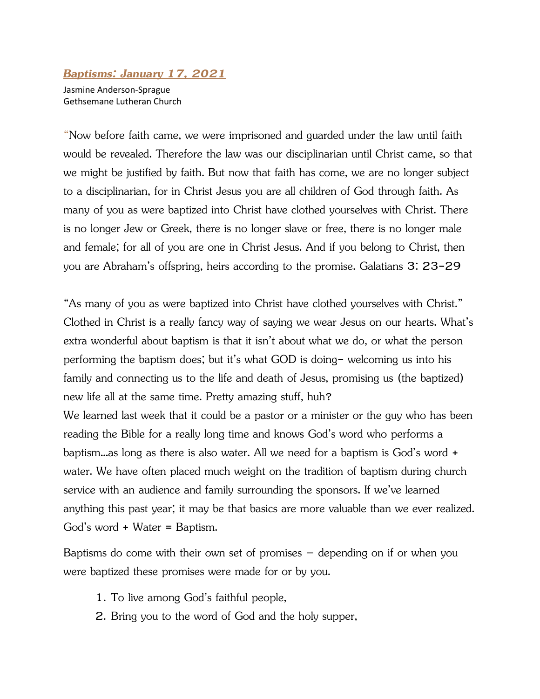## *Baptisms: January 17, 2021*

Jasmine Anderson-Sprague Gethsemane Lutheran Church

"Now before faith came, we were imprisoned and guarded under the law until faith would be revealed. Therefore the law was our disciplinarian until Christ came, so that we might be justified by faith. But now that faith has come, we are no longer subject to a disciplinarian, for in Christ Jesus you are all children of God through faith. As many of you as were baptized into Christ have clothed yourselves with Christ. There is no longer Jew or Greek, there is no longer slave or free, there is no longer male and female; for all of you are one in Christ Jesus. And if you belong to Christ, then you are Abraham's offspring, heirs according to the promise. Galatians 3: 23-29

"As many of you as were baptized into Christ have clothed yourselves with Christ." Clothed in Christ is a really fancy way of saying we wear Jesus on our hearts. What's extra wonderful about baptism is that it isn't about what we do, or what the person performing the baptism does; but it's what GOD is doing- welcoming us into his family and connecting us to the life and death of Jesus, promising us (the baptized) new life all at the same time. Pretty amazing stuff, huh?

We learned last week that it could be a pastor or a minister or the guy who has been reading the Bible for a really long time and knows God's word who performs a baptism…as long as there is also water. All we need for a baptism is God's word + water. We have often placed much weight on the tradition of baptism during church service with an audience and family surrounding the sponsors. If we've learned anything this past year; it may be that basics are more valuable than we ever realized. God's word + Water = Baptism.

Baptisms do come with their own set of promises  $-$  depending on if or when you were baptized these promises were made for or by you.

- 1. To live among God's faithful people,
- 2. Bring you to the word of God and the holy supper,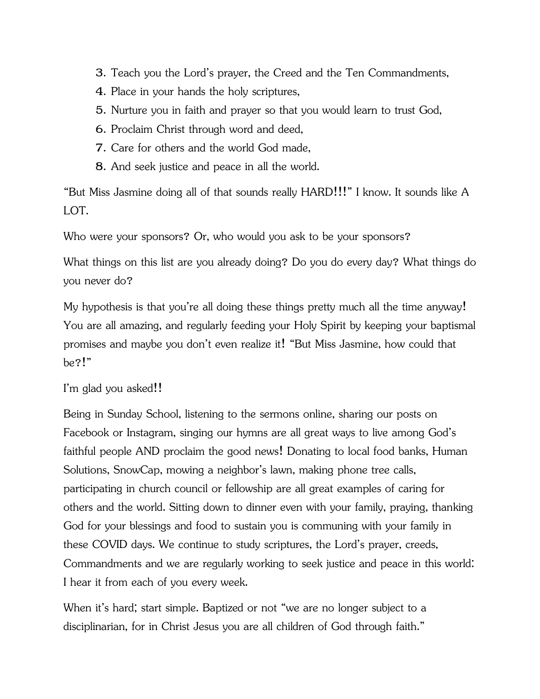- 3. Teach you the Lord's prayer, the Creed and the Ten Commandments,
- 4. Place in your hands the holy scriptures,
- 5. Nurture you in faith and prayer so that you would learn to trust God,
- 6. Proclaim Christ through word and deed,
- 7. Care for others and the world God made,
- 8. And seek justice and peace in all the world.

"But Miss Jasmine doing all of that sounds really HARD!!!" I know. It sounds like A LOT.

Who were your sponsors? Or, who would you ask to be your sponsors?

What things on this list are you already doing? Do you do every day? What things do you never do?

My hypothesis is that you're all doing these things pretty much all the time anyway! You are all amazing, and regularly feeding your Holy Spirit by keeping your baptismal promises and maybe you don't even realize it! "But Miss Jasmine, how could that be?!"

## I'm glad you asked!!

Being in Sunday School, listening to the sermons online, sharing our posts on Facebook or Instagram, singing our hymns are all great ways to live among God's faithful people AND proclaim the good news! Donating to local food banks, Human Solutions, SnowCap, mowing a neighbor's lawn, making phone tree calls, participating in church council or fellowship are all great examples of caring for others and the world. Sitting down to dinner even with your family, praying, thanking God for your blessings and food to sustain you is communing with your family in these COVID days. We continue to study scriptures, the Lord's prayer, creeds, Commandments and we are regularly working to seek justice and peace in this world: I hear it from each of you every week.

When it's hard; start simple. Baptized or not "we are no longer subject to a disciplinarian, for in Christ Jesus you are all children of God through faith."